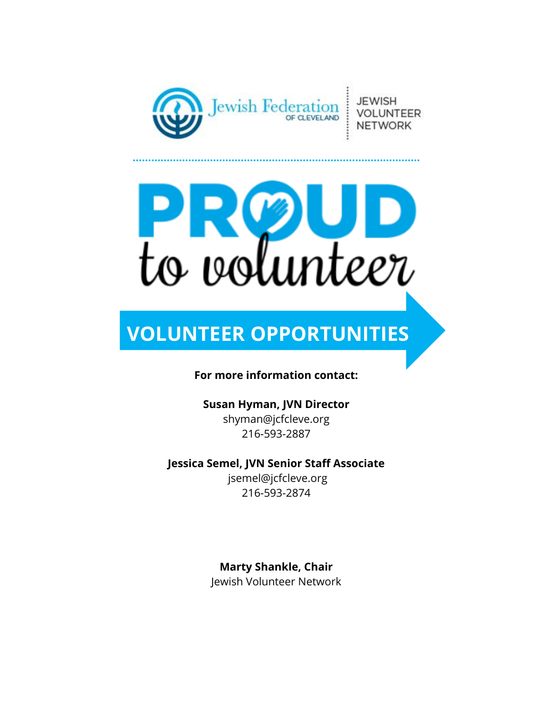

**…………………………………………………………………………………**



# **VOLUNTEER OPPORTUNITIES**

#### **For more information contact:**

#### **Susan Hyman, JVN Director**

[shyman@jcfcleve.org](mailto:shyman@jcfcleve.org) 216-593-2887

#### **Jessica Semel, JVN Senior Staff Associate** [jsemel@jcfcleve.org](mailto:jsemel@jcfcleve.org) 216-593-2874

**Marty Shankle, Chair** Jewish Volunteer Network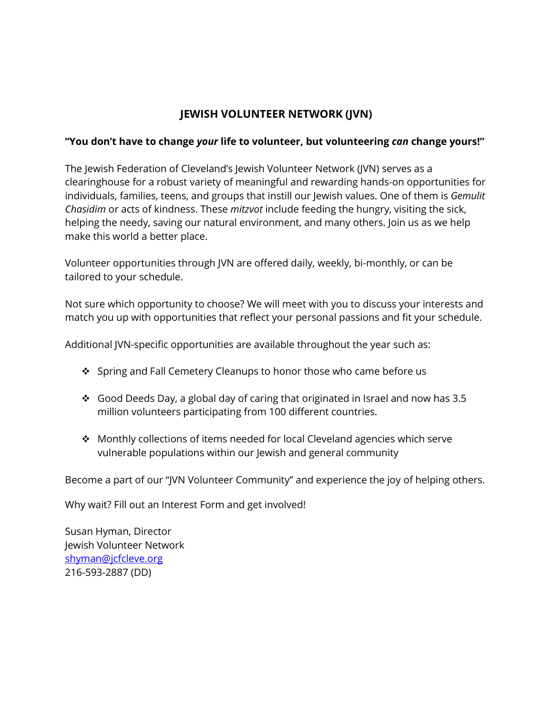#### **JEWISH VOLUNTEER NETWORK (JVN)**

#### **"You don't have to change** *your* **life to volunteer, but volunteering** *can* **change yours!"**

The Jewish Federation of Cleveland's Jewish Volunteer Network (JVN) serves as a clearinghouse for a robust variety of meaningful and rewarding hands-on opportunities for individuals, families, teens, and groups that instill our Jewish values. One of them is *Gemulit Chasidim* or acts of kindness. These *mitzvot* include feeding the hungry, visiting the sick, helping the needy, saving our natural environment, and many others. Join us as we help make this world a better place.

Volunteer opportunities through JVN are offered daily, weekly, bi-monthly, or can be tailored to your schedule.

Not sure which opportunity to choose? We will meet with you to discuss your interests and match you up with opportunities that reflect your personal passions and fit your schedule.

Additional JVN-specific opportunities are available throughout the year such as:

- ❖ Spring and Fall Cemetery Cleanups to honor those who came before us
- ❖ Good Deeds Day, a global day of caring that originated in Israel and now has 3.5 million volunteers participating from 100 different countries.
- ❖ Monthly collections of items needed for local Cleveland agencies which serve vulnerable populations within our Jewish and general community

Become a part of our "JVN Volunteer Community" and experience the joy of helping others.

Why wait? Fill out an Interest Form and get involved!

Susan Hyman, Director Jewish Volunteer Network [shyman@jcfcleve.org](mailto:shyman@jcfcleve.org) 216-593-2887 (DD)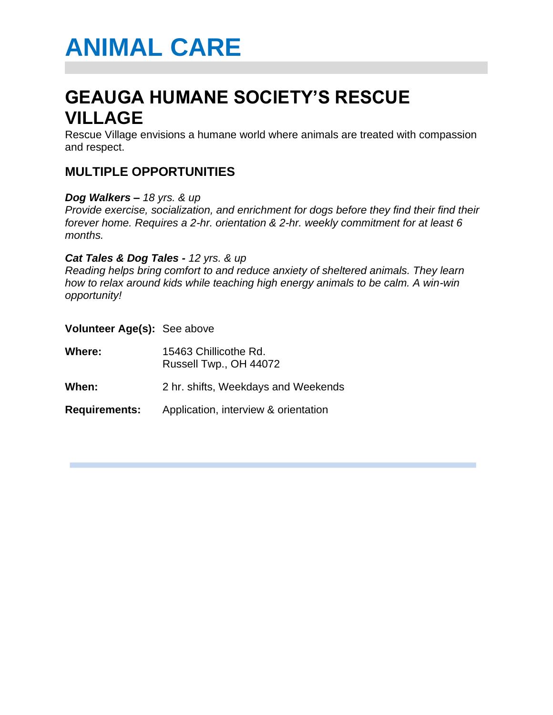# **ANIMAL CARE**

## **GEAUGA HUMANE SOCIETY'S RESCUE VILLAGE**

Rescue Village envisions a humane world where animals are treated with compassion and respect.

### **MULTIPLE OPPORTUNITIES**

#### *Dog Walkers – 18 yrs. & up*

*Provide exercise, socialization, and enrichment for dogs before they find their find their forever home. Requires a 2-hr. orientation & 2-hr. weekly commitment for at least 6 months.*

#### *Cat Tales & Dog Tales - 12 yrs. & up*

*Reading helps bring comfort to and reduce anxiety of sheltered animals. They learn how to relax around kids while teaching high energy animals to be calm. A win-win opportunity!*

**Volunteer Age(s):** See above

| Where:               | 15463 Chillicothe Rd.<br>Russell Twp., OH 44072 |
|----------------------|-------------------------------------------------|
| When:                | 2 hr. shifts, Weekdays and Weekends             |
| <b>Requirements:</b> | Application, interview & orientation            |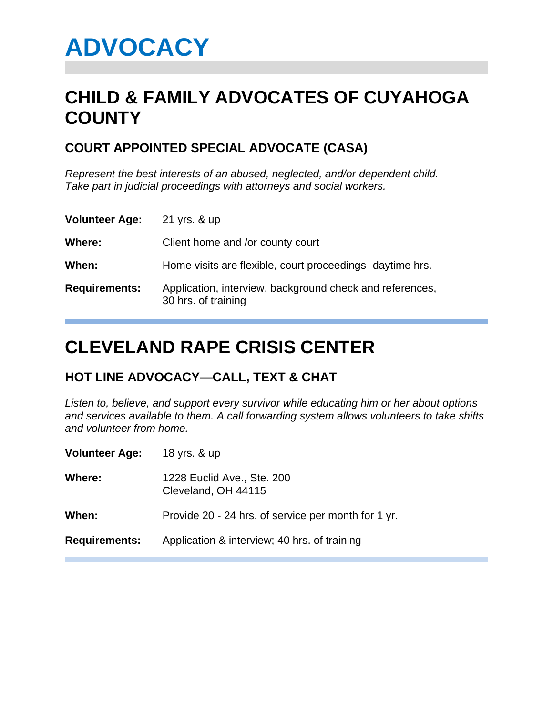# **ADVOCACY**

# **CHILD & FAMILY ADVOCATES OF CUYAHOGA COUNTY**

### **COURT APPOINTED SPECIAL ADVOCATE (CASA)**

*Represent the best interests of an abused, neglected, and/or dependent child. Take part in judicial proceedings with attorneys and social workers.*

| <b>Volunteer Age:</b> | 21 yrs. & up                                                                    |
|-----------------------|---------------------------------------------------------------------------------|
| Where:                | Client home and /or county court                                                |
| When:                 | Home visits are flexible, court proceedings-daytime hrs.                        |
| <b>Requirements:</b>  | Application, interview, background check and references,<br>30 hrs. of training |

### **CLEVELAND RAPE CRISIS CENTER**

### **HOT LINE ADVOCACY—CALL, TEXT & CHAT**

*Listen to, believe, and support every survivor while educating him or her about options and services available to them. A call forwarding system allows volunteers to take shifts and volunteer from home.*

**Volunteer Age:** 18 yrs. & up

| Where: | 1228 Euclid Ave., Ste. 200<br>Cleveland, OH 44115   |
|--------|-----------------------------------------------------|
| When:  | Provide 20 - 24 hrs. of service per month for 1 yr. |

**Requirements:** Application & interview; 40 hrs. of training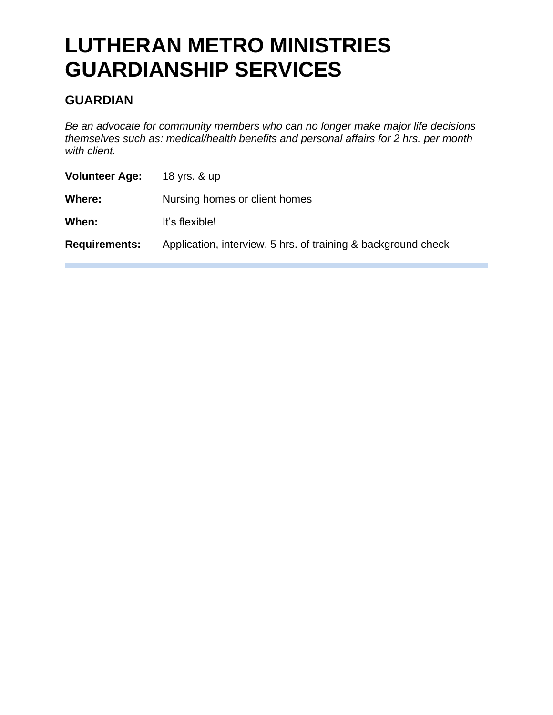# **LUTHERAN METRO MINISTRIES GUARDIANSHIP SERVICES**

### **GUARDIAN**

*Be an advocate for community members who can no longer make major life decisions themselves such as: medical/health benefits and personal affairs for 2 hrs. per month with client.*

| <b>Volunteer Age:</b> | 18 yrs. & up                                                  |
|-----------------------|---------------------------------------------------------------|
| Where:                | Nursing homes or client homes                                 |
| When:                 | It's flexible!                                                |
| <b>Requirements:</b>  | Application, interview, 5 hrs. of training & background check |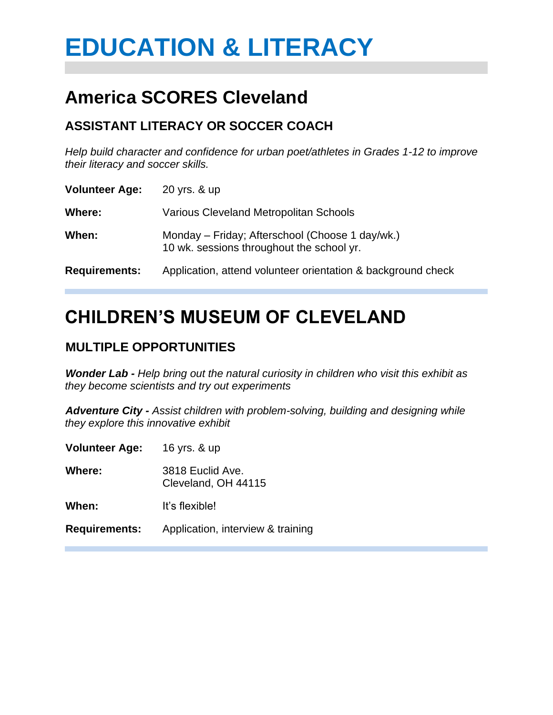# **EDUCATION & LITERACY**

### **America SCORES Cleveland**

### **ASSISTANT LITERACY OR SOCCER COACH**

*Help build character and confidence for urban poet/athletes in Grades 1-12 to improve their literacy and soccer skills.*

| <b>Volunteer Age:</b> | 20 yrs. & up                                                                                 |
|-----------------------|----------------------------------------------------------------------------------------------|
| Where:                | Various Cleveland Metropolitan Schools                                                       |
| When:                 | Monday – Friday; Afterschool (Choose 1 day/wk.)<br>10 wk. sessions throughout the school yr. |
| <b>Requirements:</b>  | Application, attend volunteer orientation & background check                                 |

### **CHILDREN'S MUSEUM OF CLEVELAND**

### **MULTIPLE OPPORTUNITIES**

*Wonder Lab - Help bring out the natural curiosity in children who visit this exhibit as they become scientists and try out experiments*

*Adventure City - Assist children with problem-solving, building and designing while they explore this innovative exhibit*

| <b>Volunteer Age:</b> | 16 yrs. & up |
|-----------------------|--------------|
|-----------------------|--------------|

**Where:** 3818 Euclid Ave. Cleveland, OH 44115

- **When:** It's flexible!
- **Requirements:** Application, interview & training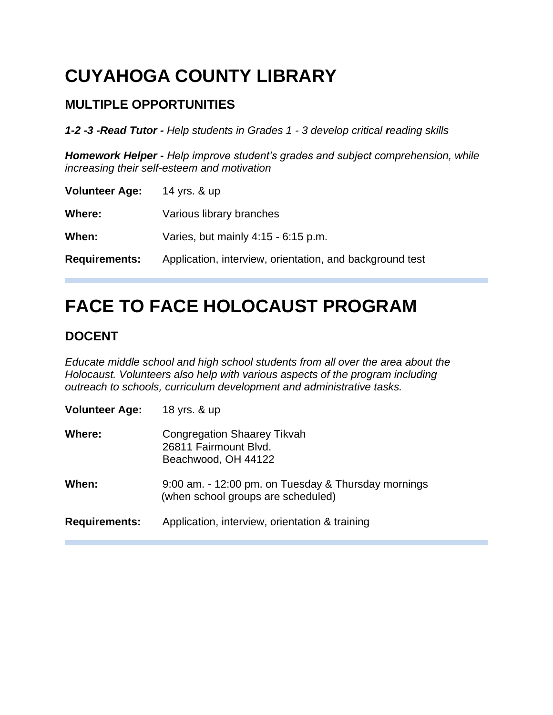# **CUYAHOGA COUNTY LIBRARY**

### **MULTIPLE OPPORTUNITIES**

*1-2 -3 -Read Tutor - Help students in Grades 1 - 3 develop critical reading skills*

*Homework Helper - Help improve student's grades and subject comprehension, while increasing their self-esteem and motivation*

| <b>Volunteer Age:</b> | 14 yrs. & up                                             |
|-----------------------|----------------------------------------------------------|
| Where:                | Various library branches                                 |
| When:                 | Varies, but mainly 4:15 - 6:15 p.m.                      |
| <b>Requirements:</b>  | Application, interview, orientation, and background test |

# **FACE TO FACE HOLOCAUST PROGRAM**

### **DOCENT**

*Educate middle school and high school students from all over the area about the Holocaust. Volunteers also help with various aspects of the program including outreach to schools, curriculum development and administrative tasks.*

| <b>Volunteer Age:</b> | 18 yrs. & up                                                                              |
|-----------------------|-------------------------------------------------------------------------------------------|
| Where:                | <b>Congregation Shaarey Tikvah</b><br>26811 Fairmount Blvd.<br>Beachwood, OH 44122        |
| When:                 | 9:00 am. - 12:00 pm. on Tuesday & Thursday mornings<br>(when school groups are scheduled) |
| <b>Requirements:</b>  | Application, interview, orientation & training                                            |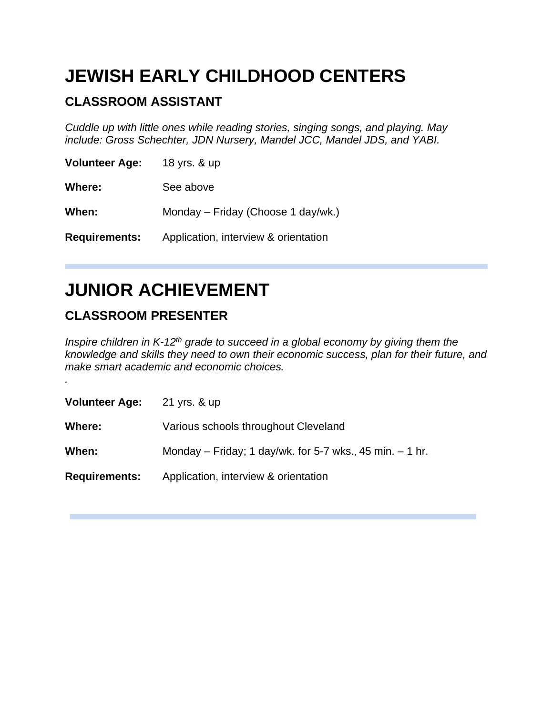# **JEWISH EARLY CHILDHOOD CENTERS**

### **CLASSROOM ASSISTANT**

*Cuddle up with little ones while reading stories, singing songs, and playing. May include: Gross Schechter, JDN Nursery, Mandel JCC, Mandel JDS, and YABI.*

**Volunteer Age:** 18 yrs. & up

**Where:** See above

When: Monday – Friday (Choose 1 day/wk.)

**Requirements:** Application, interview & orientation

### **JUNIOR ACHIEVEMENT**

### **CLASSROOM PRESENTER**

*.*

*Inspire children in K-12th grade to succeed in a global economy by giving them the knowledge and skills they need to own their economic success, plan for their future, and make smart academic and economic choices.* 

**Volunteer Age:** 21 yrs. & up **Where:** Various schools throughout Cleveland **When:** Monday – Friday; 1 day/wk. for 5-7 wks., 45 min. – 1 hr. **Requirements:** Application, interview & orientation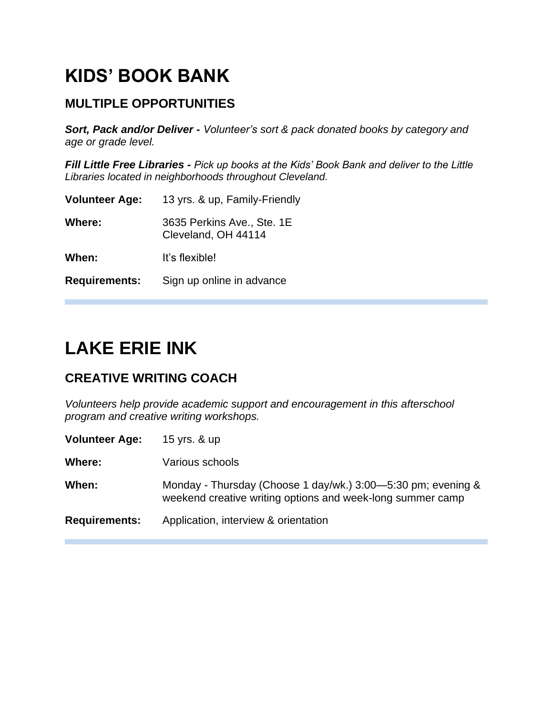# **KIDS' BOOK BANK**

### **MULTIPLE OPPORTUNITIES**

*Sort, Pack and/or Deliver - Volunteer's sort & pack donated books by category and age or grade level.*

*Fill Little Free Libraries - Pick up books at the Kids' Book Bank and deliver to the Little Libraries located in neighborhoods throughout Cleveland.*

| <b>Volunteer Age:</b> | 13 yrs. & up, Family-Friendly                     |
|-----------------------|---------------------------------------------------|
| Where:                | 3635 Perkins Ave., Ste. 1E<br>Cleveland, OH 44114 |
| When:                 | It's flexible!                                    |
| <b>Requirements:</b>  | Sign up online in advance                         |

# **LAKE ERIE INK**

### **CREATIVE WRITING COACH**

*Volunteers help provide academic support and encouragement in this afterschool program and creative writing workshops.*

| <b>Volunteer Age:</b> | 15 yrs. & up                                                                                                               |
|-----------------------|----------------------------------------------------------------------------------------------------------------------------|
| <b>Where:</b>         | Various schools                                                                                                            |
| When:                 | Monday - Thursday (Choose 1 day/wk.) 3:00-5:30 pm; evening &<br>weekend creative writing options and week-long summer camp |
| <b>Requirements:</b>  | Application, interview & orientation                                                                                       |
|                       |                                                                                                                            |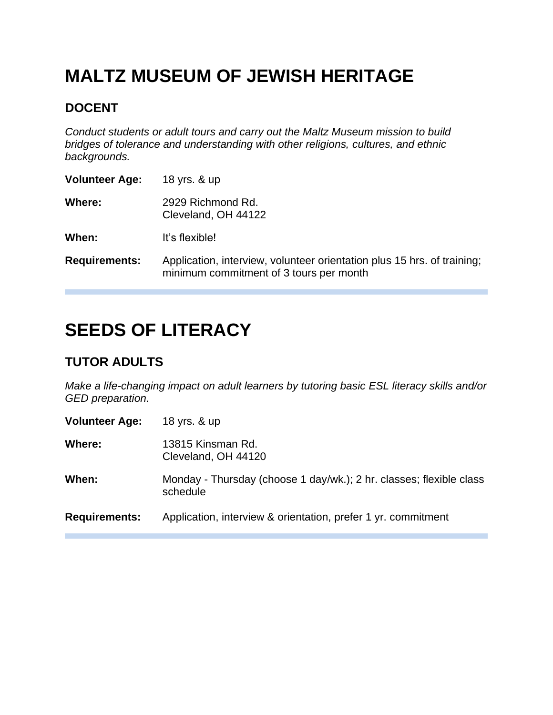# **MALTZ MUSEUM OF JEWISH HERITAGE**

### **DOCENT**

*Conduct students or adult tours and carry out the Maltz Museum mission to build bridges of tolerance and understanding with other religions, cultures, and ethnic backgrounds.*

| <b>Volunteer Age:</b> | 18 yrs. & up                                                                                                       |
|-----------------------|--------------------------------------------------------------------------------------------------------------------|
| Where:                | 2929 Richmond Rd.<br>Cleveland, OH 44122                                                                           |
| When:                 | It's flexible!                                                                                                     |
| <b>Requirements:</b>  | Application, interview, volunteer orientation plus 15 hrs. of training;<br>minimum commitment of 3 tours per month |

# **SEEDS OF LITERACY**

### **TUTOR ADULTS**

*Make a life-changing impact on adult learners by tutoring basic ESL literacy skills and/or GED preparation.*

| <b>Volunteer Age:</b> | 18 yrs. & up                                                                    |
|-----------------------|---------------------------------------------------------------------------------|
| Where:                | 13815 Kinsman Rd.<br>Cleveland, OH 44120                                        |
| When:                 | Monday - Thursday (choose 1 day/wk.); 2 hr. classes; flexible class<br>schedule |
| <b>Requirements:</b>  | Application, interview & orientation, prefer 1 yr. commitment                   |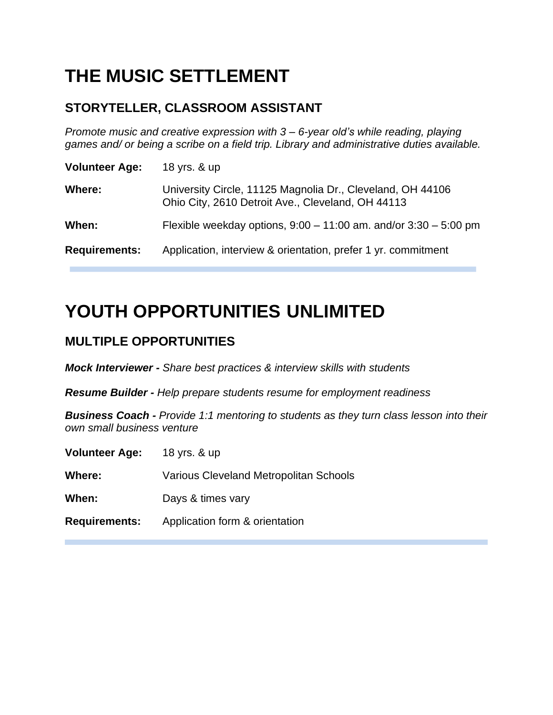# **THE MUSIC SETTLEMENT**

### **STORYTELLER, CLASSROOM ASSISTANT**

*Promote music and creative expression with 3 – 6-year old's while reading, playing games and/ or being a scribe on a field trip. Library and administrative duties available.* 

| <b>Volunteer Age:</b> | 18 yrs. & up                                                                                                    |
|-----------------------|-----------------------------------------------------------------------------------------------------------------|
| Where:                | University Circle, 11125 Magnolia Dr., Cleveland, OH 44106<br>Ohio City, 2610 Detroit Ave., Cleveland, OH 44113 |
| When:                 | Flexible weekday options, $9:00 - 11:00$ am. and/or $3:30 - 5:00$ pm                                            |
| <b>Requirements:</b>  | Application, interview & orientation, prefer 1 yr. commitment                                                   |

### **YOUTH OPPORTUNITIES UNLIMITED**

### **MULTIPLE OPPORTUNITIES**

*Mock Interviewer - Share best practices & interview skills with students*

*Resume Builder - Help prepare students resume for employment readiness*

*Business Coach - Provide 1:1 mentoring to students as they turn class lesson into their own small business venture*

**Volunteer Age:** 18 yrs. & up

**Where:** Various Cleveland Metropolitan Schools

**When:** Days & times vary

**Requirements:** Application form & orientation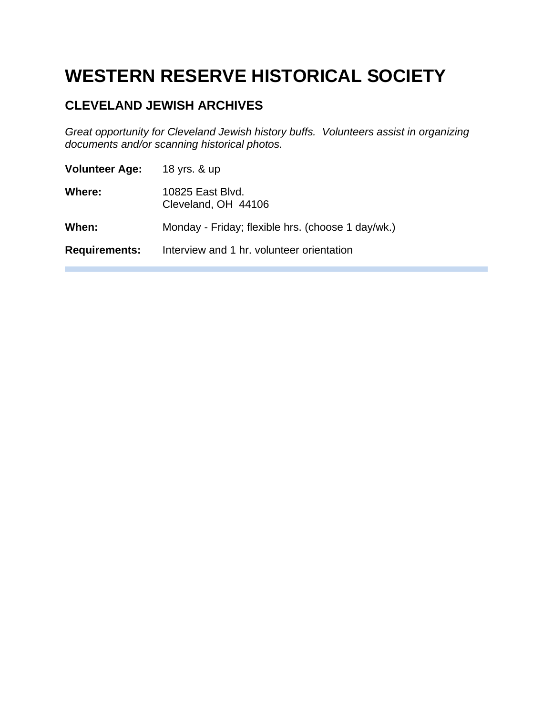# **WESTERN RESERVE HISTORICAL SOCIETY**

### **CLEVELAND JEWISH ARCHIVES**

*Great opportunity for Cleveland Jewish history buffs. Volunteers assist in organizing documents and/or scanning historical photos.*

| <b>Volunteer Age:</b> | 18 yrs. & up                                      |
|-----------------------|---------------------------------------------------|
| Where:                | 10825 East Blvd.<br>Cleveland, OH 44106           |
| When:                 | Monday - Friday; flexible hrs. (choose 1 day/wk.) |
| <b>Requirements:</b>  | Interview and 1 hr. volunteer orientation         |
|                       |                                                   |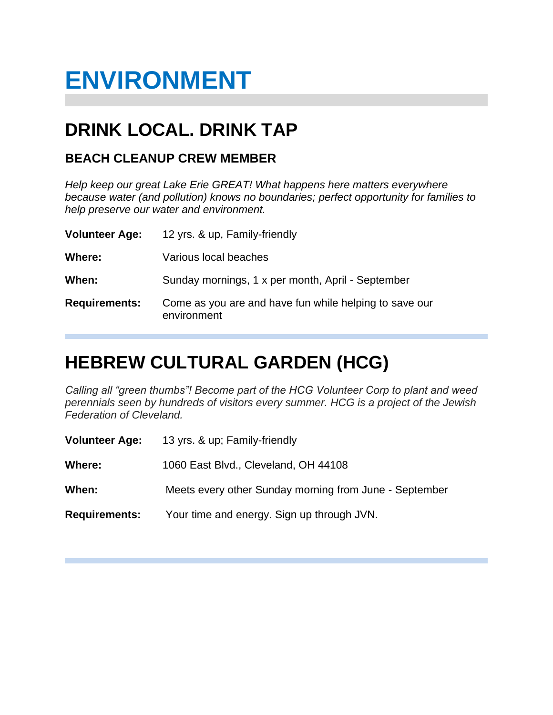# **ENVIRONMENT**

# **DRINK LOCAL. DRINK TAP**

### **BEACH CLEANUP CREW MEMBER**

*Help keep our great Lake Erie GREAT! What happens here matters everywhere because water (and pollution) knows no boundaries; perfect opportunity for families to help preserve our water and environment.*

| <b>Volunteer Age:</b> | 12 yrs. & up, Family-friendly                                         |
|-----------------------|-----------------------------------------------------------------------|
| Where:                | Various local beaches                                                 |
| When:                 | Sunday mornings, 1 x per month, April - September                     |
| <b>Requirements:</b>  | Come as you are and have fun while helping to save our<br>environment |

# **HEBREW CULTURAL GARDEN (HCG)**

*Calling all "green thumbs"! Become part of the HCG Volunteer Corp to plant and weed perennials seen by hundreds of visitors every summer. HCG is a project of the Jewish Federation of Cleveland.* 

| <b>Volunteer Age:</b> | 13 yrs. & up; Family-friendly                          |
|-----------------------|--------------------------------------------------------|
| <b>Where:</b>         | 1060 East Blvd., Cleveland, OH 44108                   |
| When:                 | Meets every other Sunday morning from June - September |
| <b>Requirements:</b>  | Your time and energy. Sign up through JVN.             |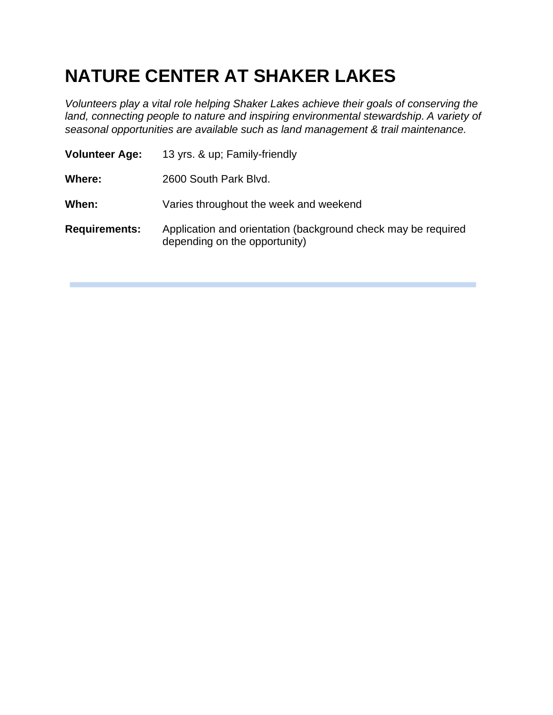# **NATURE CENTER AT SHAKER LAKES**

*Volunteers play a vital role helping Shaker Lakes achieve their goals of conserving the land, connecting people to nature and inspiring environmental stewardship. A variety of seasonal opportunities are available such as land management & trail maintenance.* 

| <b>Volunteer Age:</b> | 13 yrs. & up; Family-friendly                                                                  |
|-----------------------|------------------------------------------------------------------------------------------------|
| Where:                | 2600 South Park Blvd.                                                                          |
| When:                 | Varies throughout the week and weekend                                                         |
| <b>Requirements:</b>  | Application and orientation (background check may be required<br>depending on the opportunity) |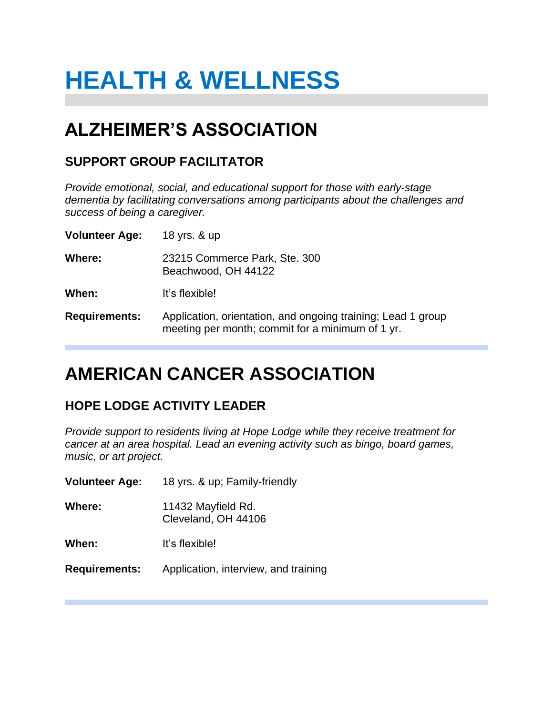# **HEALTH & WELLNESS**

# **ALZHEIMER'S ASSOCIATION**

### **SUPPORT GROUP FACILITATOR**

*Provide emotional, social, and educational support for those with early-stage dementia by facilitating conversations among participants about the challenges and success of being a caregiver.*

| <b>Volunteer Age:</b> | 18 yrs. & up                                                                                                     |
|-----------------------|------------------------------------------------------------------------------------------------------------------|
| Where:                | 23215 Commerce Park, Ste. 300<br>Beachwood, OH 44122                                                             |
| When:                 | It's flexible!                                                                                                   |
| <b>Requirements:</b>  | Application, orientation, and ongoing training; Lead 1 group<br>meeting per month; commit for a minimum of 1 yr. |

## **AMERICAN CANCER ASSOCIATION**

### **HOPE LODGE ACTIVITY LEADER**

*Provide support to residents living at Hope Lodge while they receive treatment for cancer at an area hospital. Lead an evening activity such as bingo, board games, music, or art project.*

**Volunteer Age:** 18 yrs. & up; Family-friendly **Where:** 11432 Mayfield Rd. Cleveland, OH 44106 **When:** It's flexible! **Requirements:** Application, interview, and training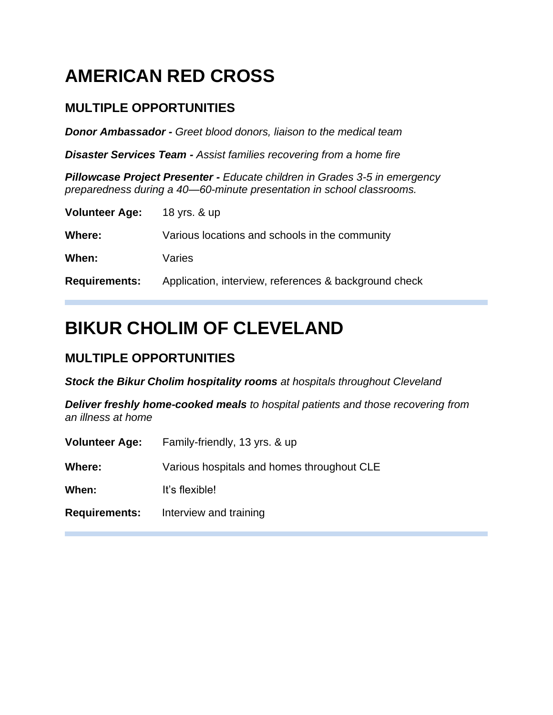# **AMERICAN RED CROSS**

### **MULTIPLE OPPORTUNITIES**

*Donor Ambassador - Greet blood donors, liaison to the medical team*

*Disaster Services Team - Assist families recovering from a home fire*

*Pillowcase Project Presenter - Educate children in Grades 3-5 in emergency preparedness during a 40—60-minute presentation in school classrooms.*

| <b>Volunteer Age:</b> | 18 yrs. $&$ up                                        |
|-----------------------|-------------------------------------------------------|
| Where:                | Various locations and schools in the community        |
| When:                 | Varies                                                |
| <b>Requirements:</b>  | Application, interview, references & background check |
|                       |                                                       |

# **BIKUR CHOLIM OF CLEVELAND**

### **MULTIPLE OPPORTUNITIES**

*Stock the Bikur Cholim hospitality rooms at hospitals throughout Cleveland*

*Deliver freshly home-cooked meals to hospital patients and those recovering from an illness at home*

| <b>Volunteer Age:</b> | Family-friendly, 13 yrs. & up              |
|-----------------------|--------------------------------------------|
| Where:                | Various hospitals and homes throughout CLE |
| When:                 | It's flexible!                             |
| <b>Requirements:</b>  | Interview and training                     |
|                       |                                            |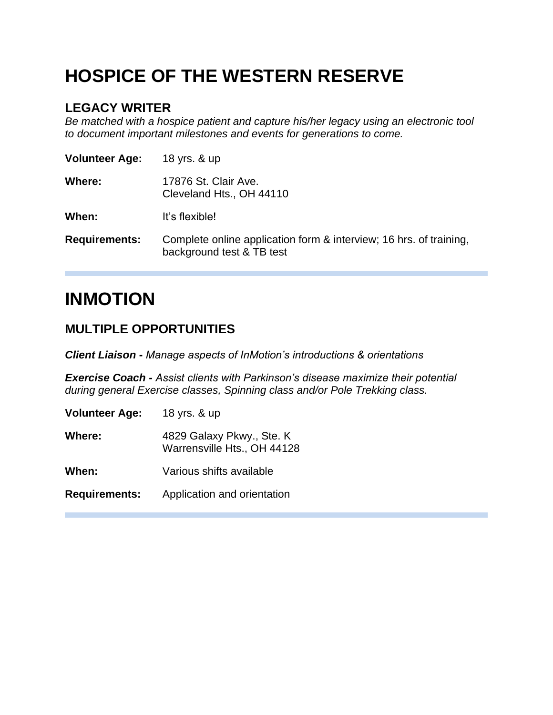# **HOSPICE OF THE WESTERN RESERVE**

### **LEGACY WRITER**

*Be matched with a hospice patient and capture his/her legacy using an electronic tool to document important milestones and events for generations to come.*

| <b>Volunteer Age:</b> | 18 yrs. & up                                                                                    |
|-----------------------|-------------------------------------------------------------------------------------------------|
| Where:                | 17876 St. Clair Ave.<br>Cleveland Hts., OH 44110                                                |
| When:                 | It's flexible!                                                                                  |
| <b>Requirements:</b>  | Complete online application form & interview; 16 hrs. of training,<br>background test & TB test |

### **INMOTION**

### **MULTIPLE OPPORTUNITIES**

*Client Liaison* **-** *Manage aspects of InMotion's introductions & orientations*

*Exercise Coach - Assist clients with Parkinson's disease maximize their potential during general Exercise classes, Spinning class and/or Pole Trekking class.*

| Volunteer Age: | 18 yrs. & up                                             |
|----------------|----------------------------------------------------------|
| Where:         | 4829 Galaxy Pkwy., Ste. K<br>Warrensville Hts., OH 44128 |

**When:** Various shifts available

**Requirements:** Application and orientation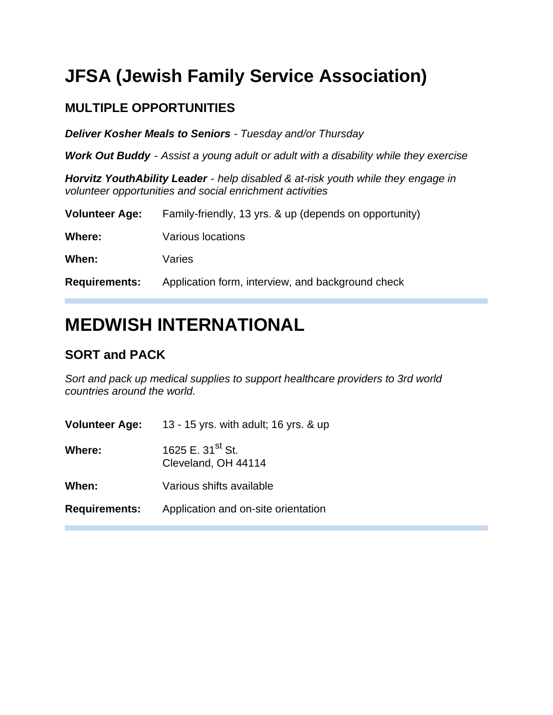# **JFSA (Jewish Family Service Association)**

### **MULTIPLE OPPORTUNITIES**

*Deliver Kosher Meals to Seniors - Tuesday and/or Thursday*

*Work Out Buddy - Assist a young adult or adult with a disability while they exercise*

*Horvitz YouthAbility Leader - help disabled & at-risk youth while they engage in volunteer opportunities and social enrichment activities*

| Family-friendly, 13 yrs. & up (depends on opportunity) |
|--------------------------------------------------------|
| <b>Various locations</b>                               |
| Varies                                                 |
| Application form, interview, and background check      |
|                                                        |

# **MEDWISH INTERNATIONAL**

### **SORT and PACK**

*Sort and pack up medical supplies to support healthcare providers to 3rd world countries around the world.*

| <b>Volunteer Age:</b> | 13 - 15 yrs. with adult; 16 yrs. & up               |
|-----------------------|-----------------------------------------------------|
| <b>Where:</b>         | 1625 E. 31 <sup>st</sup> St.<br>Cleveland, OH 44114 |
| When:                 | Various shifts available                            |
| <b>Requirements:</b>  | Application and on-site orientation                 |
|                       |                                                     |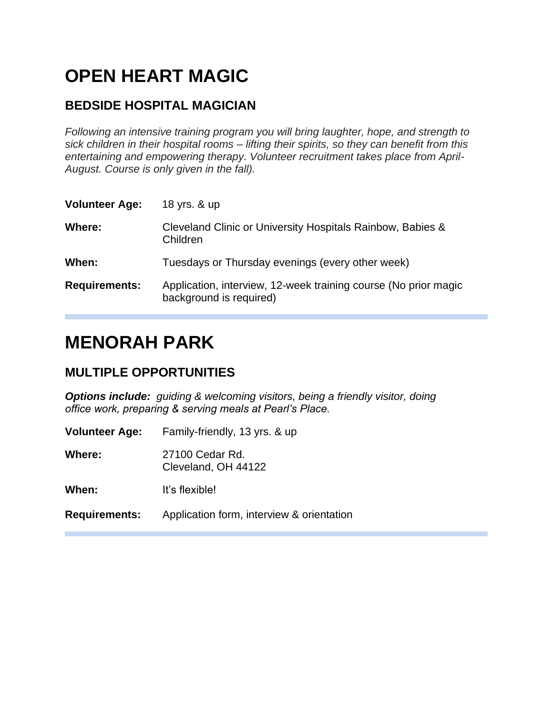# **OPEN HEART MAGIC**

### **BEDSIDE HOSPITAL MAGICIAN**

*Following an intensive training program you will bring laughter, hope, and strength to sick children in their hospital rooms – lifting their spirits, so they can benefit from this entertaining and empowering therapy. Volunteer recruitment takes place from April-August. Course is only given in the fall).*

| <b>Volunteer Age:</b> | 18 yrs. & up                                                                               |
|-----------------------|--------------------------------------------------------------------------------------------|
| Where:                | Cleveland Clinic or University Hospitals Rainbow, Babies &<br>Children                     |
| When:                 | Tuesdays or Thursday evenings (every other week)                                           |
| <b>Requirements:</b>  | Application, interview, 12-week training course (No prior magic<br>background is required) |

### **MENORAH PARK**

#### **MULTIPLE OPPORTUNITIES**

*Options include: guiding & welcoming visitors, being a friendly visitor, doing office work, preparing & serving meals at Pearl's Place.*

| <b>Volunteer Age:</b> | Family-friendly, 13 yrs. & up |
|-----------------------|-------------------------------|
|                       |                               |

**Where:** 27100 Cedar Rd. Cleveland, OH 44122

**When:** It's flexible!

**Requirements:** Application form, interview & orientation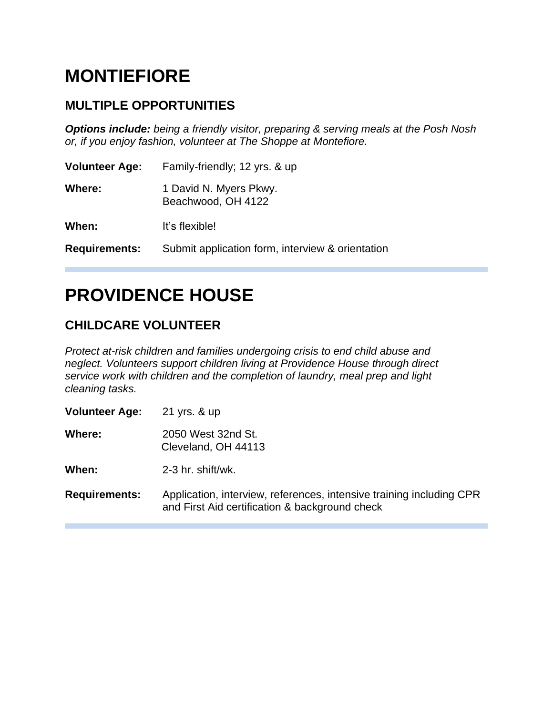# **MONTIEFIORE**

### **MULTIPLE OPPORTUNITIES**

*Options include: being a friendly visitor, preparing & serving meals at the Posh Nosh or, if you enjoy fashion, volunteer at The Shoppe at Montefiore.*

| <b>Volunteer Age:</b> | Family-friendly; 12 yrs. & up                    |
|-----------------------|--------------------------------------------------|
| Where:                | 1 David N. Myers Pkwy.<br>Beachwood, OH 4122     |
| When:                 | It's flexible!                                   |
| <b>Requirements:</b>  | Submit application form, interview & orientation |

# **PROVIDENCE HOUSE**

### **CHILDCARE VOLUNTEER**

*Protect at-risk children and families undergoing crisis to end child abuse and neglect. Volunteers support children living at Providence House through direct service work with children and the completion of laundry, meal prep and light cleaning tasks.*

**Volunteer Age:** 21 yrs. & up

**Where:** 2050 West 32nd St. Cleveland, OH 44113

**When:** 2-3 hr. shift/wk.

**Requirements:** Application, interview, references, intensive training including CPR and First Aid certification & background check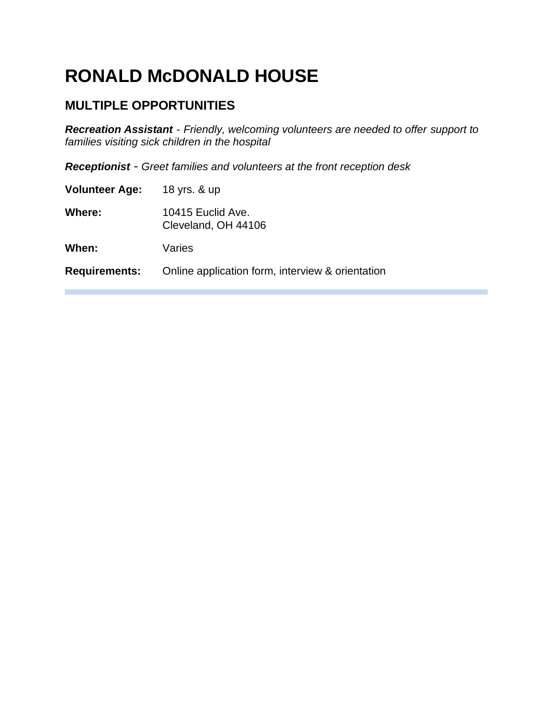# **RONALD McDONALD HOUSE**

### **MULTIPLE OPPORTUNITIES**

*Recreation Assistant - Friendly, welcoming volunteers are needed to offer support to families visiting sick children in the hospital*

*Receptionist - Greet families and volunteers at the front reception desk*

| 18 yrs. & up                                     |
|--------------------------------------------------|
| 10415 Euclid Ave.<br>Cleveland, OH 44106         |
| Varies                                           |
| Online application form, interview & orientation |
|                                                  |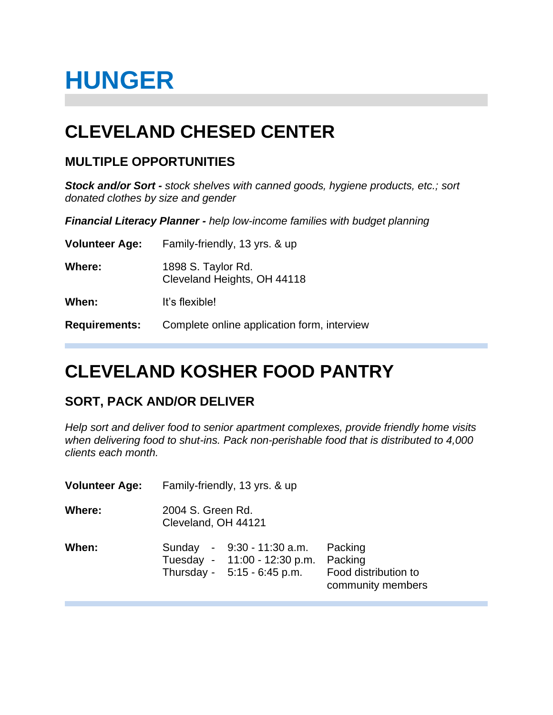# **HUNGER**

## **CLEVELAND CHESED CENTER**

### **MULTIPLE OPPORTUNITIES**

*Stock and/or Sort - stock shelves with canned goods, hygiene products, etc.; sort donated clothes by size and gender*

*Financial Literacy Planner - help low-income families with budget planning*

| <b>Volunteer Age:</b> | Family-friendly, 13 yrs. & up                     |
|-----------------------|---------------------------------------------------|
| Where:                | 1898 S. Taylor Rd.<br>Cleveland Heights, OH 44118 |
| When:                 | It's flexible!                                    |
| <b>Requirements:</b>  | Complete online application form, interview       |

## **CLEVELAND KOSHER FOOD PANTRY**

### **SORT, PACK AND/OR DELIVER**

*Help sort and deliver food to senior apartment complexes, provide friendly home visits when delivering food to shut-ins. Pack non-perishable food that is distributed to 4,000 clients each month.*

| <b>Volunteer Age:</b> | Family-friendly, 13 yrs. & up            |                                                                                           |                                                                 |
|-----------------------|------------------------------------------|-------------------------------------------------------------------------------------------|-----------------------------------------------------------------|
| Where:                | 2004 S. Green Rd.<br>Cleveland, OH 44121 |                                                                                           |                                                                 |
| When:                 |                                          | Sunday - 9:30 - 11:30 a.m.<br>Tuesday - 11:00 - 12:30 p.m.<br>Thursday - 5:15 - 6:45 p.m. | Packing<br>Packing<br>Food distribution to<br>community members |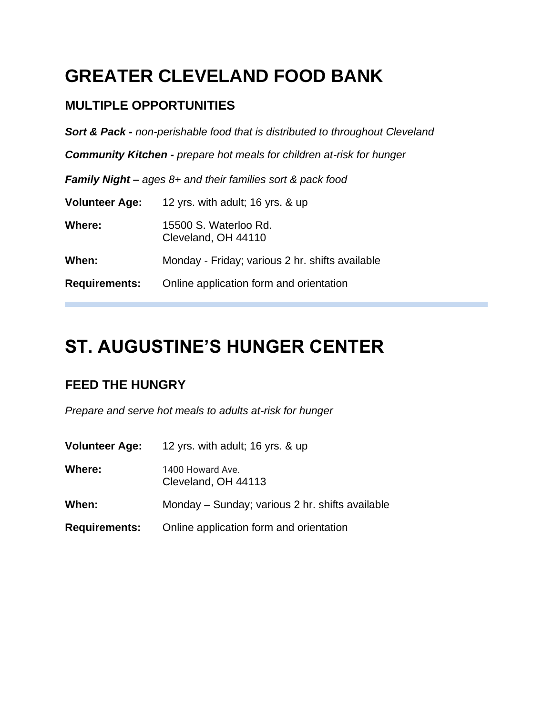# **GREATER CLEVELAND FOOD BANK**

### **MULTIPLE OPPORTUNITIES**

*Sort & Pack - non-perishable food that is distributed to throughout Cleveland*

*Community Kitchen - prepare hot meals for children at-risk for hunger*

*Family Night – ages 8+ and their families sort & pack food*

| <b>Volunteer Age:</b> | 12 yrs. with adult; 16 yrs. & up                |
|-----------------------|-------------------------------------------------|
| Where:                | 15500 S. Waterloo Rd.<br>Cleveland, OH 44110    |
| When:                 | Monday - Friday; various 2 hr. shifts available |
| <b>Requirements:</b>  | Online application form and orientation         |

# **ST. AUGUSTINE'S HUNGER CENTER**

### **FEED THE HUNGRY**

*Prepare and serve hot meals to adults at-risk for hunger*

| <b>Volunteer Age:</b> | 12 yrs. with adult; 16 yrs. & up                |
|-----------------------|-------------------------------------------------|
| Where:                | 1400 Howard Ave.<br>Cleveland, OH 44113         |
| When:                 | Monday – Sunday; various 2 hr. shifts available |
| <b>Requirements:</b>  | Online application form and orientation         |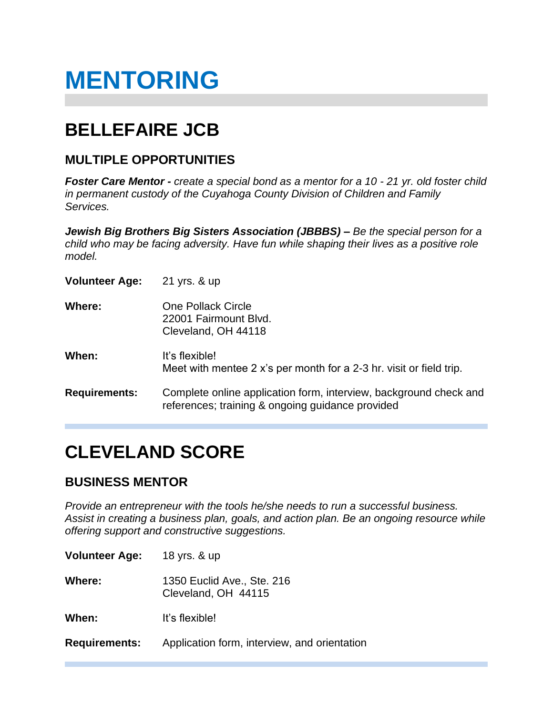# **MENTORING**

## **BELLEFAIRE JCB**

#### **MULTIPLE OPPORTUNITIES**

*Foster Care Mentor - create a special bond as a mentor for a 10 - 21 yr. old foster child in permanent custody of the Cuyahoga County Division of Children and Family Services.*

*Jewish Big Brothers Big Sisters Association (JBBBS) – Be the special person for a child who may be facing adversity. Have fun while shaping their lives as a positive role model.* 

| <b>Volunteer Age:</b> | 21 yrs. & up                                                                                                          |
|-----------------------|-----------------------------------------------------------------------------------------------------------------------|
| Where:                | One Pollack Circle<br>22001 Fairmount Blvd.<br>Cleveland, OH 44118                                                    |
| When:                 | It's flexible!<br>Meet with mentee 2 x's per month for a 2-3 hr. visit or field trip.                                 |
| <b>Requirements:</b>  | Complete online application form, interview, background check and<br>references; training & ongoing guidance provided |

# **CLEVELAND SCORE**

#### **BUSINESS MENTOR**

*Provide an entrepreneur with the tools he/she needs to run a successful business. Assist in creating a business plan, goals, and action plan. Be an ongoing resource while offering support and constructive suggestions.*

| <b>Volunteer Age:</b> | 18 yrs. & up               |
|-----------------------|----------------------------|
| Where:                | 1350 Euclid Ave., Ste. 216 |

Cleveland, OH 44115

**When:** It's flexible!

**Requirements:** Application form, interview, and orientation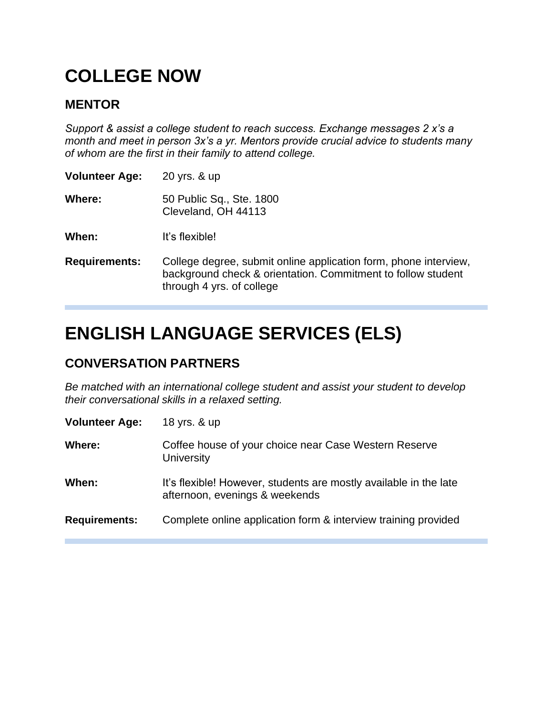# **COLLEGE NOW**

#### **MENTOR**

*Support & assist a college student to reach success. Exchange messages 2 x's a month and meet in person 3x's a yr. Mentors provide crucial advice to students many of whom are the first in their family to attend college.*

| <b>Volunteer Age:</b> | 20 yrs. & up                                                                                                                                                  |
|-----------------------|---------------------------------------------------------------------------------------------------------------------------------------------------------------|
| Where:                | 50 Public Sq., Ste. 1800<br>Cleveland, OH 44113                                                                                                               |
| When:                 | It's flexible!                                                                                                                                                |
| <b>Requirements:</b>  | College degree, submit online application form, phone interview,<br>background check & orientation. Commitment to follow student<br>through 4 yrs. of college |

# **ENGLISH LANGUAGE SERVICES (ELS)**

### **CONVERSATION PARTNERS**

*Be matched with an international college student and assist your student to develop their conversational skills in a relaxed setting.*

| 18 yrs. & up                                                                                        |
|-----------------------------------------------------------------------------------------------------|
| Coffee house of your choice near Case Western Reserve<br>University                                 |
| It's flexible! However, students are mostly available in the late<br>afternoon, evenings & weekends |
| Complete online application form & interview training provided                                      |
|                                                                                                     |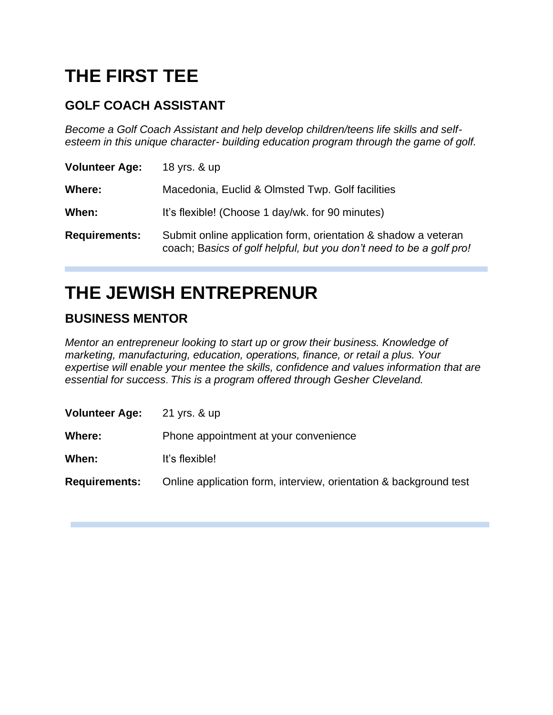# **THE FIRST TEE**

### **GOLF COACH ASSISTANT**

*Become a Golf Coach Assistant and help develop children/teens life skills and selfesteem in this unique character- building education program through the game of golf.*

| <b>Volunteer Age:</b> | 18 yrs. & up                                                                                                                          |
|-----------------------|---------------------------------------------------------------------------------------------------------------------------------------|
| Where:                | Macedonia, Euclid & Olmsted Twp. Golf facilities                                                                                      |
| When:                 | It's flexible! (Choose 1 day/wk. for 90 minutes)                                                                                      |
| <b>Requirements:</b>  | Submit online application form, orientation & shadow a veteran<br>coach; Basics of golf helpful, but you don't need to be a golf pro! |

## **THE JEWISH ENTREPRENUR**

### **BUSINESS MENTOR**

*Mentor an entrepreneur looking to start up or grow their business. Knowledge of marketing, manufacturing, education, operations, finance, or retail a plus. Your expertise will enable your mentee the skills, confidence and values information that are essential for success*. *This is a program offered through Gesher Cleveland.* 

| <b>Volunteer Age:</b> | 21 yrs. & up                                                      |
|-----------------------|-------------------------------------------------------------------|
| Where:                | Phone appointment at your convenience                             |
| When:                 | It's flexible!                                                    |
| <b>Requirements:</b>  | Online application form, interview, orientation & background test |
|                       |                                                                   |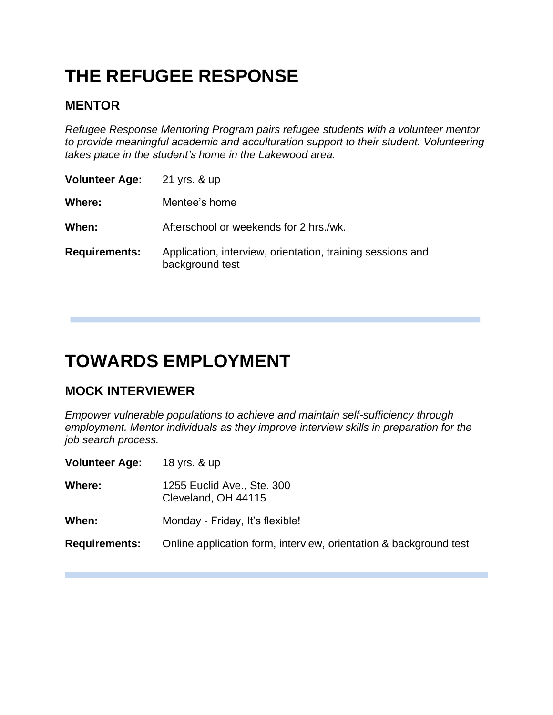# **THE REFUGEE RESPONSE**

#### **MENTOR**

*Refugee Response Mentoring Program pairs refugee students with a volunteer mentor to provide meaningful academic and acculturation support to their student. Volunteering takes place in the student's home in the Lakewood area.*

| <b>Volunteer Age:</b> | 21 yrs. & up                                                                  |
|-----------------------|-------------------------------------------------------------------------------|
| Where:                | Mentee's home                                                                 |
| When:                 | Afterschool or weekends for 2 hrs./wk.                                        |
| <b>Requirements:</b>  | Application, interview, orientation, training sessions and<br>background test |

# **TOWARDS EMPLOYMENT**

### **MOCK INTERVIEWER**

*Empower vulnerable populations to achieve and maintain self-sufficiency through employment. Mentor individuals as they improve interview skills in preparation for the job search process.*

**Volunteer Age:** 18 yrs. & up

**Where:** 1255 Euclid Ave., Ste. 300 Cleveland, OH 44115

**When:** Monday - Friday, It's flexible!

**Requirements:** Online application form, interview, orientation & background test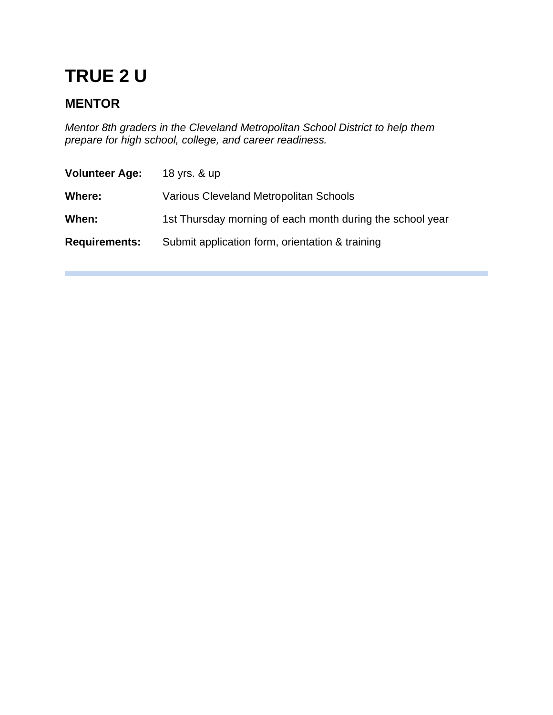# **TRUE 2 U**

### **MENTOR**

*Mentor 8th graders in the Cleveland Metropolitan School District to help them prepare for high school, college, and career readiness.*

| Various Cleveland Metropolitan Schools                    |
|-----------------------------------------------------------|
| 1st Thursday morning of each month during the school year |
| Submit application form, orientation & training           |
|                                                           |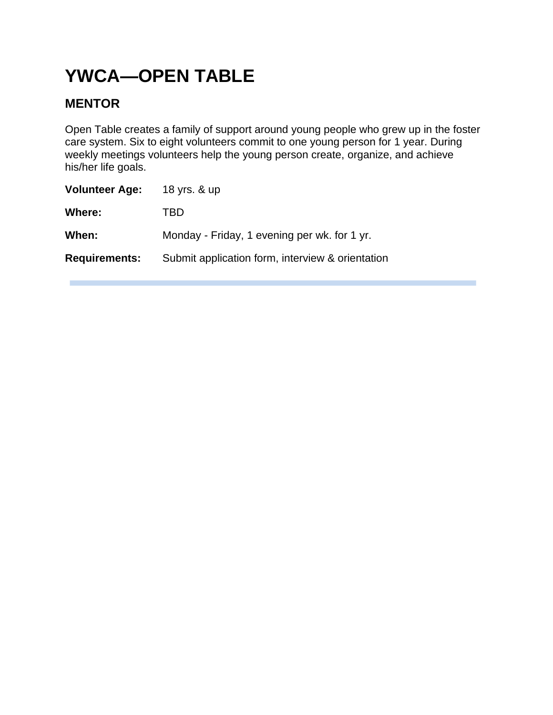# **YWCA—OPEN TABLE**

### **MENTOR**

Open Table creates a family of support around young people who grew up in the foster care system. Six to eight volunteers commit to one young person for 1 year. During weekly meetings volunteers help the young person create, organize, and achieve his/her life goals.

| <b>Volunteer Age:</b> | 18 yrs. & up                                     |
|-----------------------|--------------------------------------------------|
| Where:                | TBD                                              |
| When:                 | Monday - Friday, 1 evening per wk. for 1 yr.     |
| <b>Requirements:</b>  | Submit application form, interview & orientation |
|                       |                                                  |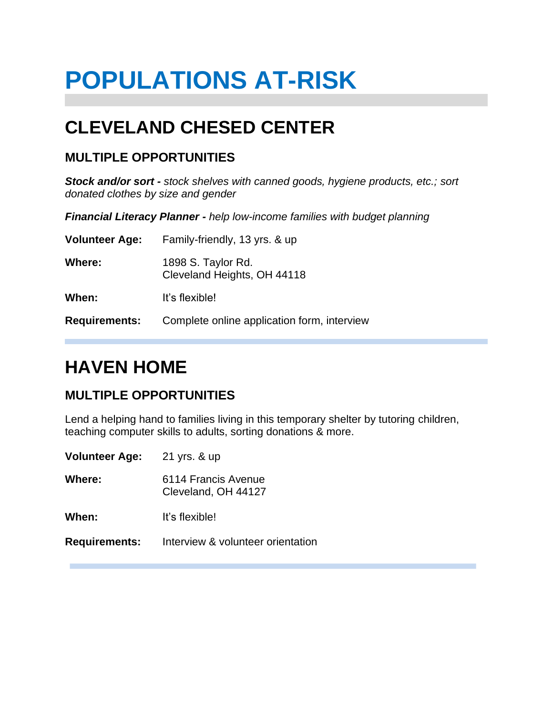# **POPULATIONS AT-RISK**

# **CLEVELAND CHESED CENTER**

### **MULTIPLE OPPORTUNITIES**

*Stock and/or sort - stock shelves with canned goods, hygiene products, etc.; sort donated clothes by size and gender*

*Financial Literacy Planner - help low-income families with budget planning*

| <b>Volunteer Age:</b> | Family-friendly, 13 yrs. & up                     |
|-----------------------|---------------------------------------------------|
| Where:                | 1898 S. Taylor Rd.<br>Cleveland Heights, OH 44118 |
| When:                 | It's flexible!                                    |
| <b>Requirements:</b>  | Complete online application form, interview       |

## **HAVEN HOME**

#### **MULTIPLE OPPORTUNITIES**

Lend a helping hand to families living in this temporary shelter by tutoring children, teaching computer skills to adults, sorting donations & more.

**Volunteer Age:** 21 yrs. & up

**Where:** 6114 Francis Avenue Cleveland, OH 44127

**When:** It's flexible!

**Requirements:** Interview & volunteer orientation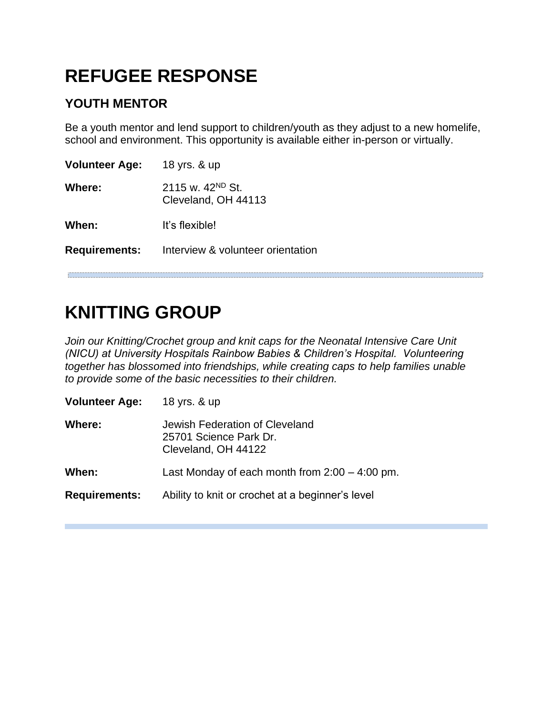# **REFUGEE RESPONSE**

### **YOUTH MENTOR**

Be a youth mentor and lend support to children/youth as they adjust to a new homelife, school and environment. This opportunity is available either in-person or virtually.

| Volunteer Age:       | 18 yrs. & up                                 |
|----------------------|----------------------------------------------|
| Where:               | 2115 w. $42^{ND}$ St.<br>Cleveland, OH 44113 |
| When:                | It's flexible!                               |
| <b>Requirements:</b> | Interview & volunteer orientation            |

### **KNITTING GROUP**

Join our Knitting/Crochet group and knit caps for the Neonatal Intensive Care Unit *(NICU) at University Hospitals Rainbow Babies & Children's Hospital. Volunteering together has blossomed into friendships, while creating caps to help families unable to provide some of the basic necessities to their children.*

| <b>Volunteer Age:</b> | 18 yrs. & up                                                                    |
|-----------------------|---------------------------------------------------------------------------------|
| <b>Where:</b>         | Jewish Federation of Cleveland<br>25701 Science Park Dr.<br>Cleveland, OH 44122 |
| When:                 | Last Monday of each month from $2:00 - 4:00$ pm.                                |
| <b>Requirements:</b>  | Ability to knit or crochet at a beginner's level                                |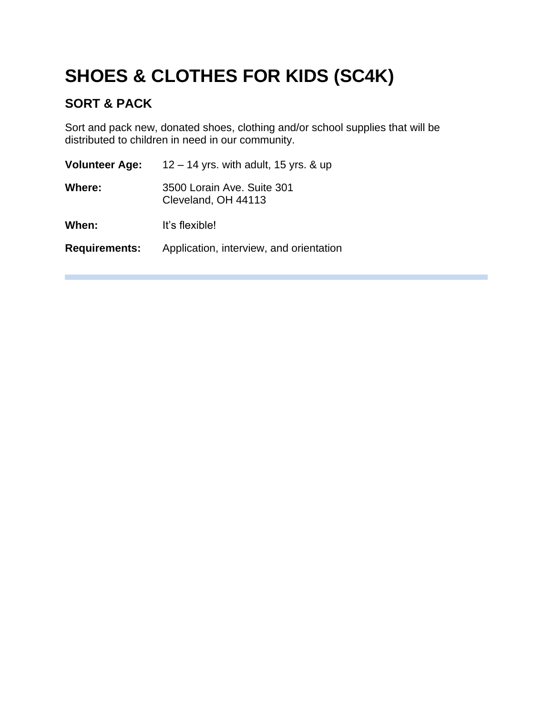# **SHOES & CLOTHES FOR KIDS (SC4K)**

### **SORT & PACK**

Sort and pack new, donated shoes, clothing and/or school supplies that will be distributed to children in need in our community.

| $12 - 14$ yrs. with adult, 15 yrs. & up           |
|---------------------------------------------------|
| 3500 Lorain Ave. Suite 301<br>Cleveland, OH 44113 |
| It's flexible!                                    |
| Application, interview, and orientation           |
|                                                   |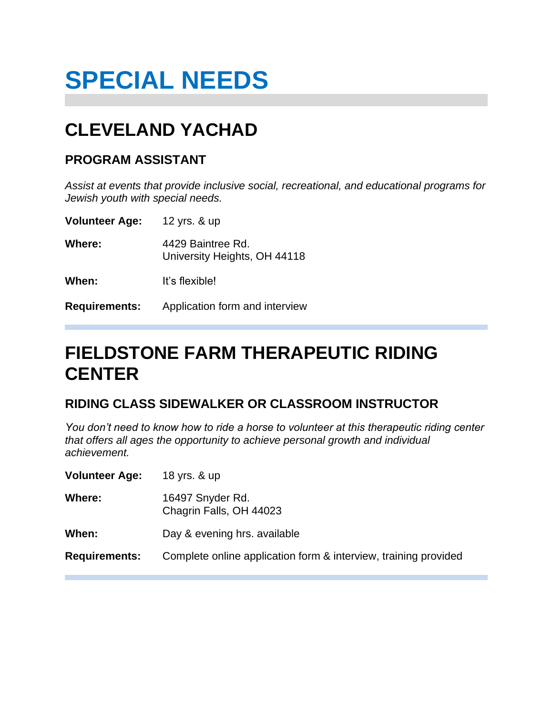# **SPECIAL NEEDS**

# **CLEVELAND YACHAD**

#### **PROGRAM ASSISTANT**

*Assist at events that provide inclusive social, recreational, and educational programs for Jewish youth with special needs.*

| <b>Volunteer Age:</b> | 12 yrs. & up                                      |
|-----------------------|---------------------------------------------------|
| Where:                | 4429 Baintree Rd.<br>University Heights, OH 44118 |
| When:                 | It's flexible!                                    |
| <b>Requirements:</b>  | Application form and interview                    |

### **FIELDSTONE FARM THERAPEUTIC RIDING CENTER**

### **RIDING CLASS SIDEWALKER OR CLASSROOM INSTRUCTOR**

*You don't need to know how to ride a horse to volunteer at this therapeutic riding center that offers all ages the opportunity to achieve personal growth and individual achievement.*

| <b>Volunteer Age:</b> | 18 yrs. $&$ up                                                  |
|-----------------------|-----------------------------------------------------------------|
| Where:                | 16497 Snyder Rd.<br>Chagrin Falls, OH 44023                     |
| When:                 | Day & evening hrs. available                                    |
| <b>Requirements:</b>  | Complete online application form & interview, training provided |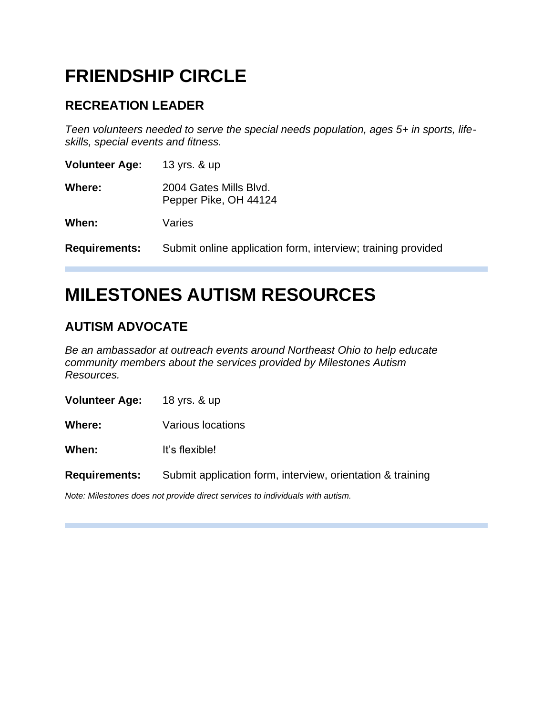# **FRIENDSHIP CIRCLE**

### **RECREATION LEADER**

*Teen volunteers needed to serve the special needs population, ages 5+ in sports, lifeskills, special events and fitness.*

| <b>Volunteer Age:</b> | 13 yrs. & up                                                 |
|-----------------------|--------------------------------------------------------------|
| Where:                | 2004 Gates Mills Blvd.<br>Pepper Pike, OH 44124              |
| When:                 | Varies                                                       |
| <b>Requirements:</b>  | Submit online application form, interview; training provided |

# **MILESTONES AUTISM RESOURCES**

### **AUTISM ADVOCATE**

*Be an ambassador at outreach events around Northeast Ohio to help educate community members about the services provided by Milestones Autism Resources.*

**Volunteer Age:** 18 yrs. & up

**Where:** Various locations

**When:** It's flexible!

**Requirements:** Submit application form, interview, orientation & training

*Note: Milestones does not provide direct services to individuals with autism.*